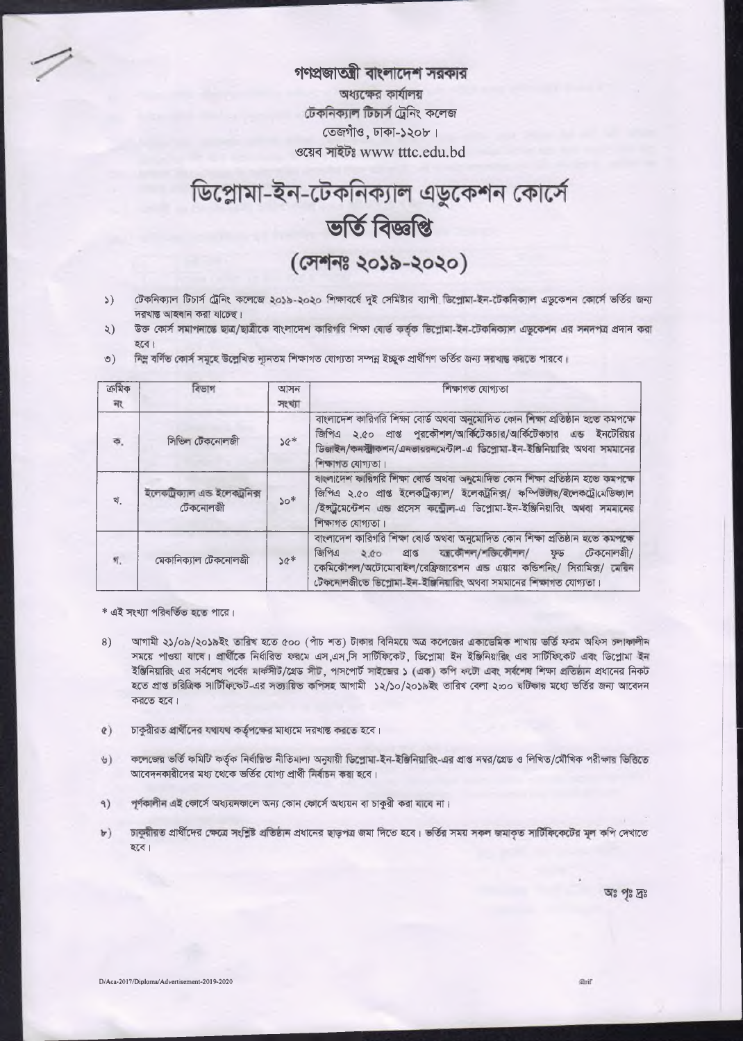গণপ্রজাতন্ত্রী বাংলাদেশ সরকার অধ্যক্ষের কার্যালয় টেকনিক্যাল টিচার্স ট্রেনিং কলেজ তেজগাঁও, ঢাকা-১২০৮। ওয়েব সাইটঃ www tttc.edu.bd

## ডিপ্লোমা-ইন-টেকনিক্যাল এডুকেশন কোর্সে ভৰ্তি বিজ্ঞপ্তি (সেশনঃ ২০১৯-২০২০)

- টেকনিক্যাল টিচার্স ট্রেনিং কলেজে ২০১৯-২০২০ শিক্ষাবর্ষে দুই সেমিষ্টার ব্যাপী ডিপ্রোমা-ইন-টেকনিক্যাল এডুকেশন কোর্সে ভর্তির জন্য  $\mathcal{L}$ দরখান্ত আহবান করা যাচেছ।
- উক্ত কোর্স সমাপনান্তে ছাত্র/ছাত্রীকে বাংলাদেশ কারিগরি শিক্ষা বোর্ড কর্তৃক ভিশ্লোমা-ইন-টেকনিক্যাল এডুকেশন এর সনদপত্র প্রদান করা  $\lambda$ ) হবে।
- নিম্ন বৰ্ণিত কোৰ্স সমূহে উল্লেখিত ন্যানতম শিক্ষাগত যোগ্যতা সম্পন্ন ইচ্ছুক প্ৰাৰ্থীগণ ভৰ্তির জন্য দরখান্ত করতে পারবে।  $\circ$ )

| ক্ৰমিক           | বিভাগ                                       | আসন         | শিক্ষাগত যোগ্যতা                                                                                                                                                                                                                                                                              |  |
|------------------|---------------------------------------------|-------------|-----------------------------------------------------------------------------------------------------------------------------------------------------------------------------------------------------------------------------------------------------------------------------------------------|--|
| 飛                |                                             | সংখ্যা      |                                                                                                                                                                                                                                                                                               |  |
| ক,               | সিভিল ঢেকনোলজী                              | $\geqslant$ | বাংলাদেশ কারিগরি শিক্ষা বোর্ড অথবা অনুমোদিত কোন শিক্ষা প্রতিষ্ঠান ২তে কমপক্ষে<br>জিপিএ ২.৫০ প্রাপ্ত পুরকৌশল/আর্কিটেকচার/আর্কিটেকচার এন্ড ইনটেরিয়র<br>ডিজাইন/কন্স্ট্রাকশন/এনভায়রনমেন্টাল-এ ডিপ্রোমা-ইন-ইঞ্জিনিয়ারিং অথবা সমমানের<br>শিক্ষাগত যোগ্যতা।                                       |  |
| খ.               | ইলেকট্ৰিক্যাল এন্ড ইলেকট্ৰনিক্স<br>টেকনোলজী | $50*$       | বাংলাদেশ কারিগরি শিক্ষা বোর্ড অথবা অনুমোদিত কোন শিক্ষা প্রতিষ্ঠান হতে কমপক্ষে<br>জিপিএ ২.৫০ প্রাপ্ত ইলেকট্রিক্যাল/ ইলেকট্রনিক্স/ কম্পিউটার/ইলেকট্রোমেডিক্যাল<br>/ইন্ট্রমেন্টেশন এন্ড প্রসেস কর্ম্মোল-এ ডিপ্লোমা-ইন-ইঞ্জিনিয়ারিং অথবা সমমানের<br>শিক্ষাগত যোগ্যতা।                            |  |
| $\mathfrak{N}_*$ | মেকানিক্যাল টেকনোলজী                        | $36*$       | বাংলাদেশ কারিগরি শিক্ষা বোর্ড অথবা অনুমোদিত কোন শিক্ষা প্রতিষ্ঠান হতে কমপক্ষে<br>প্ৰাপ্ত যাকৌশল/শক্তিকৌশল/<br>জিপিএ<br>টেকনোলজী/<br>2.00<br>ফড<br>কেমিকৌশল/অটোমোবাইল/রেফ্রিজারেশন এন্ড এয়ার কভিশনিং/ সিরামিক্স/ মেরিন<br>টেকনোলজীতে ডিপ্লোমা-ইন-ইঞ্জিনিয়ারিং অথবা সমমানের শিক্ষাগত যোগ্যতা। |  |

\* এই সংখ্যা পরিবর্তিত হতে পারে।

- আগামী ২১/০৯/২০১৯ইং তারিখ হতে ৫০০ (পাঁচ শত) টাকার বিনিময়ে অত্র কলেজের একাডেমিক শাখায় ভর্তি ফরম অফিস চলাকালীন 8) সময়ে পাওয়া যাবে। প্রার্থীকে নির্ধারিত ফরমে এস এস সি সার্টিফিকেট, ডিপ্রোমা ইন ইঞ্জিনিয়ারিং এর সার্টিফিকেট এবং ডিপ্রোমা ইন ইঞ্জিনিয়ারিং এর সর্বশেষ পর্বের মার্কসীট/গ্রেড সীট, পাসপোর্ট সাইজের ১ (এক) কপি ফটো এবং সর্বশেষ শিক্ষা প্রতিষ্ঠান প্রধানের নিকট হতে প্ৰাপ্ত চরিত্রিক সার্টিফিকেট-এর সত্যায়িত কপিসহ আগামী ১২/১০/২০১৯ইং তারিখ বেলা ২:০০ ঘটিকার মধ্যে ভর্তির জন্য আবেদন করতে হবে।
- চাকুরীরত প্রার্থীদের যথাযথ কর্তৃপক্ষের মাধ্যমে দরখান্ত করতে হবে।  $\alpha$ )
- কলেজের ভর্তি কমিটি কর্তৃক নির্বারিত নীতিমালা অনুযায়ী ডিপ্রোমা-ইন-ইঞ্জিনিয়ারিং-এর প্রাপ্ত নম্বর/গ্রেড ও লিখিত/মৌখিক পরীক্ষার ভিত্তিতে  $\Theta$ ) আবেদনকারীদের মধ্য থেকে ভর্তির যোগ্য প্রার্থী নির্বাচন করা হবে।
- $9)$ পূর্ণকালীন এই কোর্সে অধ্যয়নকালে অন্য কোন কোর্সে অধ্যয়ন বা চাকুরী করা যাবে না।
- চাকুরীরত প্রার্থীদের ক্ষেত্রে সংশ্লিষ্ট প্রতিষ্ঠান প্রধানের ছাড়পত্র জমা দিতে হবে। ভর্তির সময় সরুল জমাকৃত সার্টিফিকেটের মূল কপি দেখাতে  $\mathbf{b}$ হবে।

অঃ পৃঃ দ্রঃ

Grif